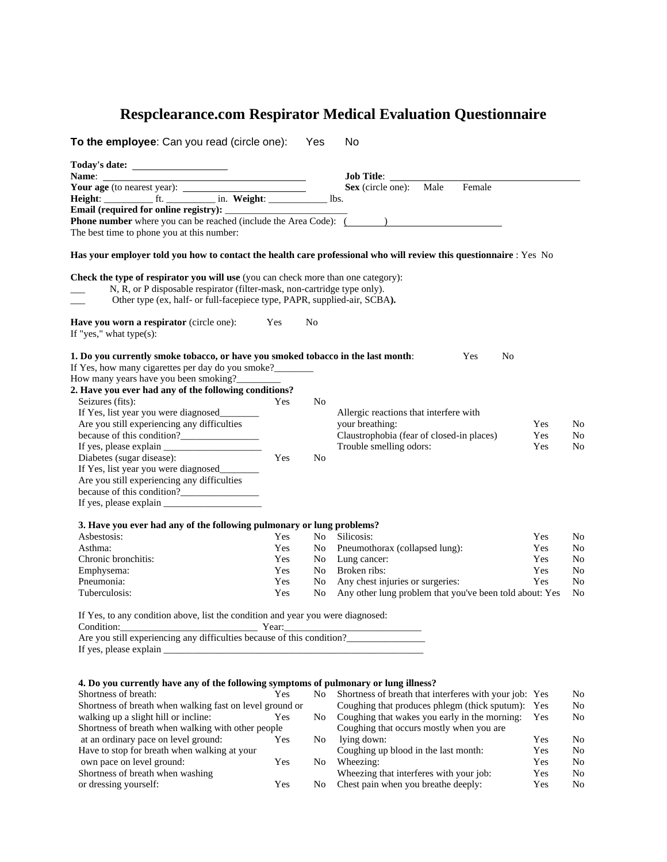# **Respclearance.com Respirator Medical Evaluation Questionnaire**

| To the employee: Can you read (circle one):<br>Yes                                                                                                                                                                                                                                      |            | No  |                                                                                                                    |            |    |  |  |
|-----------------------------------------------------------------------------------------------------------------------------------------------------------------------------------------------------------------------------------------------------------------------------------------|------------|-----|--------------------------------------------------------------------------------------------------------------------|------------|----|--|--|
|                                                                                                                                                                                                                                                                                         |            |     |                                                                                                                    |            |    |  |  |
|                                                                                                                                                                                                                                                                                         |            |     | Job Title:                                                                                                         |            |    |  |  |
|                                                                                                                                                                                                                                                                                         |            |     | Sex (circle one): Male<br>Female                                                                                   |            |    |  |  |
|                                                                                                                                                                                                                                                                                         |            |     |                                                                                                                    |            |    |  |  |
| Email (required for online registry):<br>$\label{eq:2.1} \frac{1}{\sqrt{2}}\int_{\mathbb{R}^3}\frac{1}{\sqrt{2}}\left(\frac{1}{\sqrt{2}}\right)^2\left(\frac{1}{\sqrt{2}}\right)^2\left(\frac{1}{\sqrt{2}}\right)^2\left(\frac{1}{\sqrt{2}}\right)^2\left(\frac{1}{\sqrt{2}}\right)^2.$ |            |     |                                                                                                                    |            |    |  |  |
| <b>Phone number</b> where you can be reached (include the Area Code): ( )                                                                                                                                                                                                               |            |     |                                                                                                                    |            |    |  |  |
| The best time to phone you at this number:                                                                                                                                                                                                                                              |            |     |                                                                                                                    |            |    |  |  |
|                                                                                                                                                                                                                                                                                         |            |     | Has your employer told you how to contact the health care professional who will review this questionnaire : Yes No |            |    |  |  |
| <b>Check the type of respirator you will use</b> (you can check more than one category):                                                                                                                                                                                                |            |     |                                                                                                                    |            |    |  |  |
| N, R, or P disposable respirator (filter-mask, non-cartridge type only).                                                                                                                                                                                                                |            |     |                                                                                                                    |            |    |  |  |
| Other type (ex, half- or full-facepiece type, PAPR, supplied-air, SCBA).                                                                                                                                                                                                                |            |     |                                                                                                                    |            |    |  |  |
|                                                                                                                                                                                                                                                                                         |            |     |                                                                                                                    |            |    |  |  |
| Have you worn a respirator (circle one):                                                                                                                                                                                                                                                | Yes        | No  |                                                                                                                    |            |    |  |  |
| If "yes," what type $(s)$ :                                                                                                                                                                                                                                                             |            |     |                                                                                                                    |            |    |  |  |
|                                                                                                                                                                                                                                                                                         |            |     |                                                                                                                    |            |    |  |  |
| 1. Do you currently smoke tobacco, or have you smoked tobacco in the last month:                                                                                                                                                                                                        |            |     | N <sub>0</sub><br>Yes                                                                                              |            |    |  |  |
| If Yes, how many cigarettes per day do you smoke?________                                                                                                                                                                                                                               |            |     |                                                                                                                    |            |    |  |  |
| How many years have you been smoking?                                                                                                                                                                                                                                                   |            |     |                                                                                                                    |            |    |  |  |
| 2. Have you ever had any of the following conditions?                                                                                                                                                                                                                                   |            |     |                                                                                                                    |            |    |  |  |
| Seizures (fits):                                                                                                                                                                                                                                                                        | Yes        | No  |                                                                                                                    |            |    |  |  |
| If Yes, list year you were diagnosed                                                                                                                                                                                                                                                    |            |     | Allergic reactions that interfere with                                                                             |            |    |  |  |
| Are you still experiencing any difficulties                                                                                                                                                                                                                                             |            |     | your breathing:                                                                                                    | Yes<br>Yes | No |  |  |
| because of this condition?                                                                                                                                                                                                                                                              |            |     | Claustrophobia (fear of closed-in places)                                                                          |            | No |  |  |
|                                                                                                                                                                                                                                                                                         |            |     | Trouble smelling odors:                                                                                            | Yes        | No |  |  |
| Diabetes (sugar disease):                                                                                                                                                                                                                                                               | Yes        | No  |                                                                                                                    |            |    |  |  |
| If Yes, list year you were diagnosed<br>Are you still experiencing any difficulties                                                                                                                                                                                                     |            |     |                                                                                                                    |            |    |  |  |
| because of this condition?                                                                                                                                                                                                                                                              |            |     |                                                                                                                    |            |    |  |  |
|                                                                                                                                                                                                                                                                                         |            |     |                                                                                                                    |            |    |  |  |
|                                                                                                                                                                                                                                                                                         |            |     |                                                                                                                    |            |    |  |  |
| 3. Have you ever had any of the following pulmonary or lung problems?                                                                                                                                                                                                                   |            |     |                                                                                                                    |            |    |  |  |
| Asbestosis:                                                                                                                                                                                                                                                                             | <b>Yes</b> | No. | Silicosis:                                                                                                         | Yes        | No |  |  |
| Asthma:                                                                                                                                                                                                                                                                                 | Yes        | No. | Pneumothorax (collapsed lung):                                                                                     | Yes        | No |  |  |
| Chronic bronchitis:                                                                                                                                                                                                                                                                     | Yes        | No  | Lung cancer:                                                                                                       | Yes        | No |  |  |
| Emphysema:                                                                                                                                                                                                                                                                              | Yes        | No. | Broken ribs:                                                                                                       | Yes        | No |  |  |
| Pneumonia:                                                                                                                                                                                                                                                                              | Yes        | No  | Any chest injuries or surgeries:                                                                                   | Yes        | No |  |  |
| Tuberculosis:                                                                                                                                                                                                                                                                           | Yes        | No  | Any other lung problem that you've been told about: Yes                                                            |            | No |  |  |
|                                                                                                                                                                                                                                                                                         |            |     |                                                                                                                    |            |    |  |  |
| If Yes, to any condition above, list the condition and year you were diagnosed:                                                                                                                                                                                                         |            |     |                                                                                                                    |            |    |  |  |
| Condition: Year:                                                                                                                                                                                                                                                                        |            |     |                                                                                                                    |            |    |  |  |
| Are you still experiencing any difficulties because of this condition?___________                                                                                                                                                                                                       |            |     |                                                                                                                    |            |    |  |  |
| If yes, please explain                                                                                                                                                                                                                                                                  |            |     |                                                                                                                    |            |    |  |  |
|                                                                                                                                                                                                                                                                                         |            |     |                                                                                                                    |            |    |  |  |
|                                                                                                                                                                                                                                                                                         |            |     |                                                                                                                    |            |    |  |  |
| 4. Do you currently have any of the following symptoms of pulmonary or lung illness?                                                                                                                                                                                                    |            |     |                                                                                                                    |            |    |  |  |
| Shortness of breath:                                                                                                                                                                                                                                                                    | Yes        | No  | Shortness of breath that interferes with your job: Yes                                                             |            | No |  |  |
| Shortness of breath when walking fast on level ground or                                                                                                                                                                                                                                |            |     | Coughing that produces phlegm (thick sputum): Yes                                                                  |            | No |  |  |
| walking up a slight hill or incline:                                                                                                                                                                                                                                                    | Yes        | No  | Coughing that wakes you early in the morning:                                                                      | Yes        | No |  |  |
| Shortness of breath when walking with other people                                                                                                                                                                                                                                      |            |     | Coughing that occurs mostly when you are                                                                           |            |    |  |  |
| at an ordinary pace on level ground:                                                                                                                                                                                                                                                    | Yes        | No  | lying down:                                                                                                        | Yes        | No |  |  |
| Have to stop for breath when walking at your                                                                                                                                                                                                                                            |            |     | Coughing up blood in the last month:                                                                               | Yes        | No |  |  |
| own pace on level ground:                                                                                                                                                                                                                                                               | Yes        | No. | Wheezing:                                                                                                          | Yes        | No |  |  |
| Shortness of breath when washing                                                                                                                                                                                                                                                        |            |     | Wheezing that interferes with your job:                                                                            | Yes        | No |  |  |

or dressing yourself: Yes Wheezing that interferes with your job: Yes No Chest pain when you breathe deeply: Yes No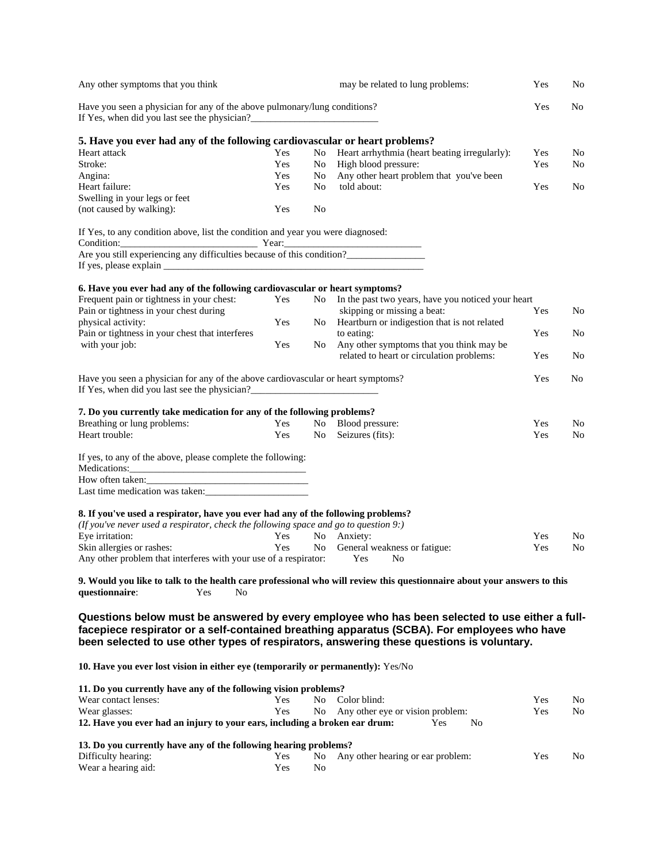| Any other symptoms that you think                                                                                                                                                                                              |     |     | may be related to lung problems:                                                                                                                                                              | Yes | No             |
|--------------------------------------------------------------------------------------------------------------------------------------------------------------------------------------------------------------------------------|-----|-----|-----------------------------------------------------------------------------------------------------------------------------------------------------------------------------------------------|-----|----------------|
| Have you seen a physician for any of the above pulmonary/lung conditions?                                                                                                                                                      |     |     |                                                                                                                                                                                               | Yes | N <sub>o</sub> |
| 5. Have you ever had any of the following cardiovascular or heart problems?                                                                                                                                                    |     |     |                                                                                                                                                                                               |     |                |
| Heart attack                                                                                                                                                                                                                   | Yes | No. | Heart arrhythmia (heart beating irregularly):                                                                                                                                                 | Yes | No.            |
|                                                                                                                                                                                                                                | Yes |     |                                                                                                                                                                                               |     |                |
| Stroke:                                                                                                                                                                                                                        |     | No. | High blood pressure:                                                                                                                                                                          | Yes | No.            |
| Angina:                                                                                                                                                                                                                        | Yes | No. | Any other heart problem that you've been                                                                                                                                                      |     |                |
| Heart failure:                                                                                                                                                                                                                 | Yes | No  | told about:                                                                                                                                                                                   | Yes | No             |
| Swelling in your legs or feet                                                                                                                                                                                                  |     |     |                                                                                                                                                                                               |     |                |
| (not caused by walking):                                                                                                                                                                                                       | Yes | No  |                                                                                                                                                                                               |     |                |
| If Yes, to any condition above, list the condition and year you were diagnosed:                                                                                                                                                |     |     |                                                                                                                                                                                               |     |                |
| Condition: Year: Year: Year: Year: Year: Year: Year: Year: Year: Year: Year: Year: Year: Year: Year: Year: Year: Year: Year: Year: Year: Year: Year: Year: Year: Year: Year: Year: Year: Year: Year: Year: Year: Year: Year: Y |     |     |                                                                                                                                                                                               |     |                |
|                                                                                                                                                                                                                                |     |     |                                                                                                                                                                                               |     |                |
|                                                                                                                                                                                                                                |     |     |                                                                                                                                                                                               |     |                |
| 6. Have you ever had any of the following cardiovascular or heart symptoms?                                                                                                                                                    |     |     |                                                                                                                                                                                               |     |                |
| Frequent pain or tightness in your chest:                                                                                                                                                                                      | Yes |     | No In the past two years, have you noticed your heart                                                                                                                                         |     |                |
| Pain or tightness in your chest during                                                                                                                                                                                         |     |     | skipping or missing a beat:                                                                                                                                                                   | Yes | No.            |
| physical activity:                                                                                                                                                                                                             | Yes | No  | Heartburn or indigestion that is not related                                                                                                                                                  |     |                |
| Pain or tightness in your chest that interferes                                                                                                                                                                                |     |     | to eating:                                                                                                                                                                                    | Yes | No             |
| with your job:                                                                                                                                                                                                                 | Yes | No. | Any other symptoms that you think may be                                                                                                                                                      |     |                |
|                                                                                                                                                                                                                                |     |     | related to heart or circulation problems:                                                                                                                                                     | Yes | No             |
|                                                                                                                                                                                                                                |     |     |                                                                                                                                                                                               |     |                |
| Have you seen a physician for any of the above cardiovascular or heart symptoms?<br>If Yes, when did you last see the physician?_                                                                                              |     |     |                                                                                                                                                                                               | Yes | No             |
| 7. Do you currently take medication for any of the following problems?                                                                                                                                                         |     |     |                                                                                                                                                                                               |     |                |
|                                                                                                                                                                                                                                |     |     |                                                                                                                                                                                               |     |                |
| Breathing or lung problems:                                                                                                                                                                                                    | Yes |     | No Blood pressure:                                                                                                                                                                            | Yes | N <sub>0</sub> |
| Heart trouble:                                                                                                                                                                                                                 | Yes |     | No Seizures (fits):                                                                                                                                                                           | Yes | No             |
| If yes, to any of the above, please complete the following:                                                                                                                                                                    |     |     |                                                                                                                                                                                               |     |                |
|                                                                                                                                                                                                                                |     |     |                                                                                                                                                                                               |     |                |
|                                                                                                                                                                                                                                |     |     |                                                                                                                                                                                               |     |                |
|                                                                                                                                                                                                                                |     |     |                                                                                                                                                                                               |     |                |
| 8. If you've used a respirator, have you ever had any of the following problems?<br>(If you've never used a respirator, check the following space and go to question $9$ .)                                                    |     |     |                                                                                                                                                                                               |     |                |
| Eye irritation:                                                                                                                                                                                                                | Yes |     | No Anxiety:                                                                                                                                                                                   | Yes | No             |
|                                                                                                                                                                                                                                | Yes |     |                                                                                                                                                                                               | Yes |                |
| Skin allergies or rashes:                                                                                                                                                                                                      |     |     | No General weakness or fatigue:                                                                                                                                                               |     | No             |
| Any other problem that interferes with your use of a respirator: Yes No                                                                                                                                                        |     |     |                                                                                                                                                                                               |     |                |
|                                                                                                                                                                                                                                |     |     | 9. Would you like to talk to the health care professional who will review this questionnaire about your answers to this                                                                       |     |                |
| questionnaire:<br>Yes<br>No                                                                                                                                                                                                    |     |     |                                                                                                                                                                                               |     |                |
|                                                                                                                                                                                                                                |     |     | Questions below must be answered by every employee who has been selected to use either a full-<br>facepiece respirator or a self-contained breathing apparatus (SCBA). For employees who have |     |                |
|                                                                                                                                                                                                                                |     |     | been selected to use other types of respirators, answering these questions is voluntary.                                                                                                      |     |                |
| 10. Have you ever lost vision in either eye (temporarily or permanently): Yes/No                                                                                                                                               |     |     |                                                                                                                                                                                               |     |                |
|                                                                                                                                                                                                                                |     |     |                                                                                                                                                                                               |     |                |
| 11. Do you currently have any of the following vision problems?                                                                                                                                                                |     |     |                                                                                                                                                                                               |     |                |
| Wear contact lenses:                                                                                                                                                                                                           | Yes | No. | Color blind:                                                                                                                                                                                  | Yes | No.            |
| Wear glasses:                                                                                                                                                                                                                  | Yes | No  | Any other eye or vision problem:                                                                                                                                                              | Yes | No             |
| 12. Have you ever had an injury to your ears, including a broken ear drum:                                                                                                                                                     |     |     | No<br><b>Yes</b>                                                                                                                                                                              |     |                |
|                                                                                                                                                                                                                                |     |     |                                                                                                                                                                                               |     |                |
| 13. Do you currently have any of the following hearing problems?                                                                                                                                                               |     |     |                                                                                                                                                                                               |     |                |
| Difficulty hearing:                                                                                                                                                                                                            | Yes | No. | Any other hearing or ear problem:                                                                                                                                                             | Yes | No.            |
| Wear a hearing aid:                                                                                                                                                                                                            | Yes | No  |                                                                                                                                                                                               |     |                |
|                                                                                                                                                                                                                                |     |     |                                                                                                                                                                                               |     |                |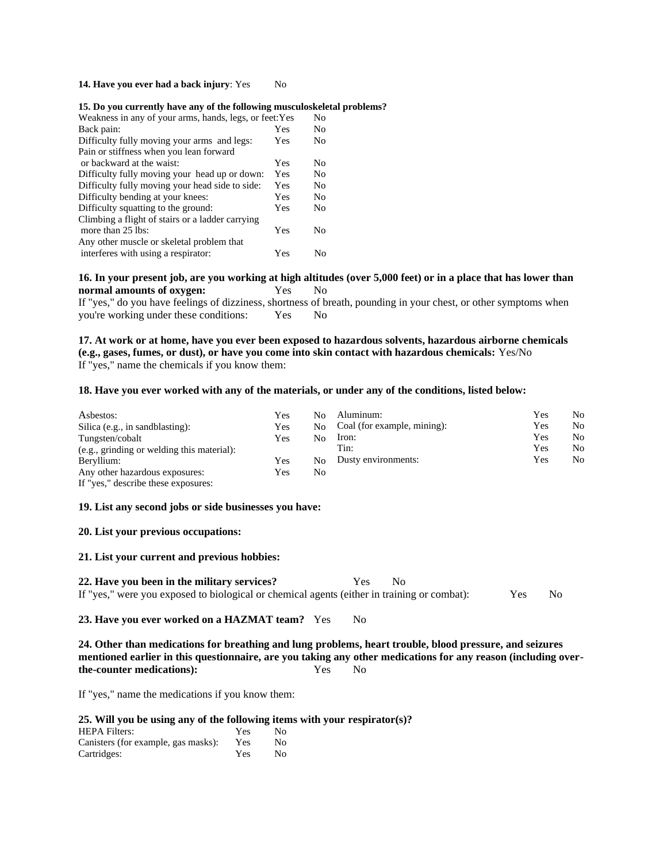## **14. Have you ever had a back injury:** Yes No

#### **15. Do you currently have any of the following musculoskeletal problems?**

| Weakness in any of your arms, hands, legs, or feet: Yes |     |    |  |  |
|---------------------------------------------------------|-----|----|--|--|
| Back pain:                                              | Yes | No |  |  |
| Difficulty fully moving your arms and legs:             | Yes | No |  |  |
| Pain or stiffness when you lean forward                 |     |    |  |  |
| or backward at the waist:                               | Yes | No |  |  |
| Difficulty fully moving your head up or down:           | Yes | No |  |  |
| Difficulty fully moving your head side to side:         | Yes | No |  |  |
| Difficulty bending at your knees:                       | Yes | Nο |  |  |
| Difficulty squatting to the ground:                     | Yes | No |  |  |
| Climbing a flight of stairs or a ladder carrying        |     |    |  |  |
| more than 25 lbs:                                       | Yes | Nο |  |  |
| Any other muscle or skeletal problem that               |     |    |  |  |
| interferes with using a respirator:                     | Yes | Nο |  |  |

# **16. In your present job, are you working at high altitudes (over 5,000 feet) or in a place that has lower than normal amounts of oxygen:** Yes No

If "yes," do you have feelings of dizziness, shortness of breath, pounding in your chest, or other symptoms when you're working under these conditions: Yes No

**17. At work or at home, have you ever been exposed to hazardous solvents, hazardous airborne chemicals (e.g., gases, fumes, or dust), or have you come into skin contact with hazardous chemicals:** Yes/No If "yes," name the chemicals if you know them:

## **18. Have you ever worked with any of the materials, or under any of the conditions, listed below:**

| Asbestos:                                  | Yes | N٥ | Aluminum:                   | Yes | No  |
|--------------------------------------------|-----|----|-----------------------------|-----|-----|
| Silica (e.g., in sandblasting):            | Yes | No | Coal (for example, mining): | Yes | No. |
| Tungsten/cobalt                            | Yes | No | Iron:                       | Yes | No. |
| (e.g., grinding or welding this material): |     |    | Tin:                        | Yes | No. |
| Beryllium:                                 | Yes | Nο | Dusty environments:         | Yes | No  |
| Any other hazardous exposures:             | Yes | No |                             |     |     |
| If "yes," describe these exposures:        |     |    |                             |     |     |

#### **19. List any second jobs or side businesses you have:**

## **20. List your previous occupations:**

#### **21. List your current and previous hobbies:**

| 22. Have you been in the military services?                                                 | Yes | - No |            |    |
|---------------------------------------------------------------------------------------------|-----|------|------------|----|
| If "yes," were you exposed to biological or chemical agents (either in training or combat): |     |      | <b>Yes</b> | No |

#### **23. Have you ever worked on a HAZMAT team?** Yes No

**24. Other than medications for breathing and lung problems, heart trouble, blood pressure, and seizures mentioned earlier in this questionnaire, are you taking any other medications for any reason (including overthe-counter medications):** Yes No

If "yes," name the medications if you know them:

## **25. Will you be using any of the following items with your respirator(s)?**

| <b>HEPA Filters:</b>                | Yes | Nο |
|-------------------------------------|-----|----|
| Canisters (for example, gas masks): | Yes | Nο |
| Cartridges:                         | Yes | Nο |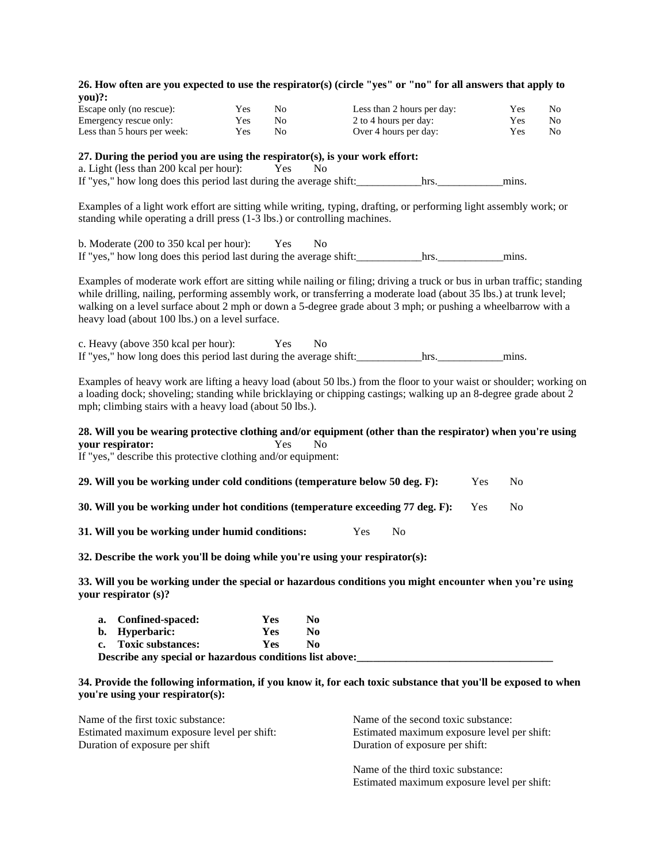| 26. How often are you expected to use the respirator(s) (circle "yes" or "no" for all answers that apply to<br>you)?:                                                                                                                                                                                                                                                                                            |     |            |                |                       |                                                                        |                                             |    |
|------------------------------------------------------------------------------------------------------------------------------------------------------------------------------------------------------------------------------------------------------------------------------------------------------------------------------------------------------------------------------------------------------------------|-----|------------|----------------|-----------------------|------------------------------------------------------------------------|---------------------------------------------|----|
| Escape only (no rescue):                                                                                                                                                                                                                                                                                                                                                                                         | Yes | No         |                |                       | Less than 2 hours per day:                                             | Yes                                         | No |
| Emergency rescue only:                                                                                                                                                                                                                                                                                                                                                                                           | Yes | No         |                | 2 to 4 hours per day: |                                                                        | Yes                                         | No |
| Less than 5 hours per week:                                                                                                                                                                                                                                                                                                                                                                                      | Yes | No         |                | Over 4 hours per day: |                                                                        | Yes                                         | No |
| 27. During the period you are using the respirator(s), is your work effort:<br>a. Light (less than 200 kcal per hour):<br>If "yes," how long does this period last during the average shift: https://www.hrs.                                                                                                                                                                                                    |     | Yes        | N <sub>0</sub> |                       |                                                                        |                                             |    |
| Examples of a light work effort are sitting while writing, typing, drafting, or performing light assembly work; or<br>standing while operating a drill press (1-3 lbs.) or controlling machines.                                                                                                                                                                                                                 |     |            |                |                       |                                                                        |                                             |    |
| b. Moderate (200 to 350 kcal per hour):<br>If "yes," how long does this period last during the average shift: hrs. hrs. hrs. html                                                                                                                                                                                                                                                                                |     | Yes        | N <sub>0</sub> |                       |                                                                        |                                             |    |
| Examples of moderate work effort are sitting while nailing or filing; driving a truck or bus in urban traffic; standing<br>while drilling, nailing, performing assembly work, or transferring a moderate load (about 35 lbs.) at trunk level;<br>walking on a level surface about 2 mph or down a 5-degree grade about 3 mph; or pushing a wheelbarrow with a<br>heavy load (about 100 lbs.) on a level surface. |     |            |                |                       |                                                                        |                                             |    |
| c. Heavy (above 350 kcal per hour):                                                                                                                                                                                                                                                                                                                                                                              | Yes |            | No             |                       |                                                                        |                                             |    |
| Examples of heavy work are lifting a heavy load (about 50 lbs.) from the floor to your waist or shoulder; working on<br>a loading dock; shoveling; standing while bricklaying or chipping castings; walking up an 8-degree grade about 2<br>mph; climbing stairs with a heavy load (about 50 lbs.).                                                                                                              |     |            |                |                       |                                                                        |                                             |    |
| 28. Will you be wearing protective clothing and/or equipment (other than the respirator) when you're using<br>your respirator:<br>If "yes," describe this protective clothing and/or equipment:                                                                                                                                                                                                                  |     | Yes        | N <sub>0</sub> |                       |                                                                        |                                             |    |
| 29. Will you be working under cold conditions (temperature below 50 deg. F):                                                                                                                                                                                                                                                                                                                                     |     |            |                |                       |                                                                        | Yes<br>N <sub>0</sub>                       |    |
| 30. Will you be working under hot conditions (temperature exceeding 77 deg. F):                                                                                                                                                                                                                                                                                                                                  |     |            |                |                       |                                                                        | Yes<br>N <sub>0</sub>                       |    |
| 31. Will you be working under humid conditions:                                                                                                                                                                                                                                                                                                                                                                  |     |            |                | Yes<br>N <sub>0</sub> |                                                                        |                                             |    |
| 32. Describe the work you'll be doing while you're using your respirator(s):                                                                                                                                                                                                                                                                                                                                     |     |            |                |                       |                                                                        |                                             |    |
| 33. Will you be working under the special or hazardous conditions you might encounter when you're using<br>your respirator (s)?                                                                                                                                                                                                                                                                                  |     |            |                |                       |                                                                        |                                             |    |
| Confined-spaced:<br>a.                                                                                                                                                                                                                                                                                                                                                                                           |     | Yes        | N <sub>0</sub> |                       |                                                                        |                                             |    |
| <b>Hyperbaric:</b><br>b.                                                                                                                                                                                                                                                                                                                                                                                         |     | <b>Yes</b> | N <sub>0</sub> |                       |                                                                        |                                             |    |
| <b>Toxic substances:</b><br>c.                                                                                                                                                                                                                                                                                                                                                                                   |     | Yes        | N <sub>0</sub> |                       |                                                                        |                                             |    |
| 34. Provide the following information, if you know it, for each toxic substance that you'll be exposed to when<br>you're using your respirator(s):                                                                                                                                                                                                                                                               |     |            |                |                       |                                                                        |                                             |    |
| Name of the first toxic substance:<br>Estimated maximum exposure level per shift:<br>Duration of exposure per shift                                                                                                                                                                                                                                                                                              |     |            |                |                       | Name of the second toxic substance:<br>Duration of exposure per shift: | Estimated maximum exposure level per shift: |    |

Name of the third toxic substance: Estimated maximum exposure level per shift: